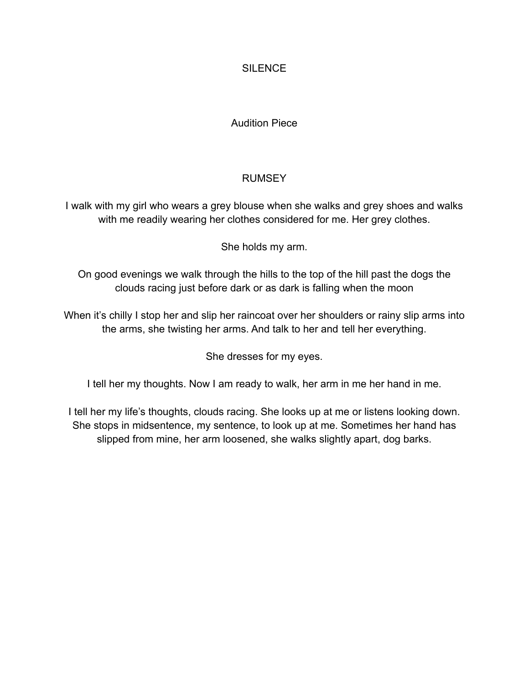### **SILENCE**

### Audition Piece

### RUMSEY

I walk with my girl who wears a grey blouse when she walks and grey shoes and walks with me readily wearing her clothes considered for me. Her grey clothes.

She holds my arm.

On good evenings we walk through the hills to the top of the hill past the dogs the clouds racing just before dark or as dark is falling when the moon

When it's chilly I stop her and slip her raincoat over her shoulders or rainy slip arms into the arms, she twisting her arms. And talk to her and tell her everything.

She dresses for my eyes.

I tell her my thoughts. Now I am ready to walk, her arm in me her hand in me.

I tell her my life's thoughts, clouds racing. She looks up at me or listens looking down. She stops in midsentence, my sentence, to look up at me. Sometimes her hand has slipped from mine, her arm loosened, she walks slightly apart, dog barks.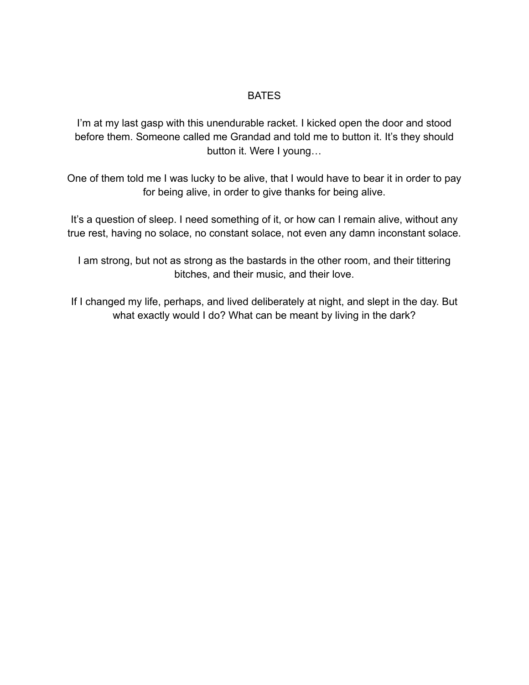#### BATES

I'm at my last gasp with this unendurable racket. I kicked open the door and stood before them. Someone called me Grandad and told me to button it. It's they should button it. Were I young…

One of them told me I was lucky to be alive, that I would have to bear it in order to pay for being alive, in order to give thanks for being alive.

It's a question of sleep. I need something of it, or how can I remain alive, without any true rest, having no solace, no constant solace, not even any damn inconstant solace.

I am strong, but not as strong as the bastards in the other room, and their tittering bitches, and their music, and their love.

If I changed my life, perhaps, and lived deliberately at night, and slept in the day. But what exactly would I do? What can be meant by living in the dark?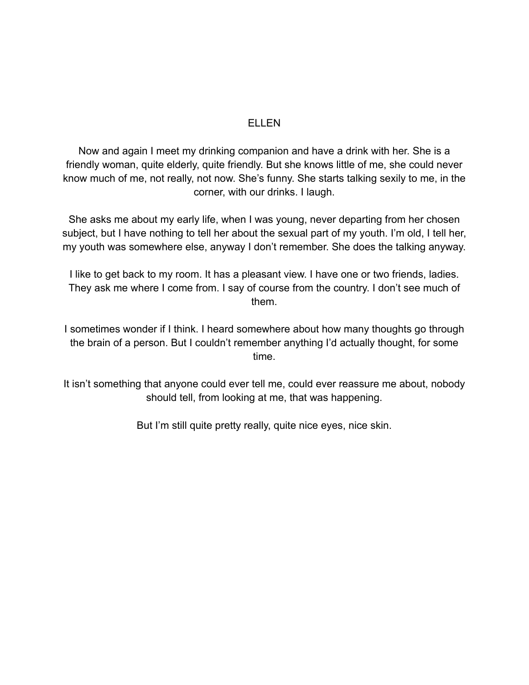#### ELLEN

Now and again I meet my drinking companion and have a drink with her. She is a friendly woman, quite elderly, quite friendly. But she knows little of me, she could never know much of me, not really, not now. She's funny. She starts talking sexily to me, in the corner, with our drinks. I laugh.

She asks me about my early life, when I was young, never departing from her chosen subject, but I have nothing to tell her about the sexual part of my youth. I'm old, I tell her, my youth was somewhere else, anyway I don't remember. She does the talking anyway.

I like to get back to my room. It has a pleasant view. I have one or two friends, ladies. They ask me where I come from. I say of course from the country. I don't see much of them.

I sometimes wonder if I think. I heard somewhere about how many thoughts go through the brain of a person. But I couldn't remember anything I'd actually thought, for some time.

It isn't something that anyone could ever tell me, could ever reassure me about, nobody should tell, from looking at me, that was happening.

But I'm still quite pretty really, quite nice eyes, nice skin.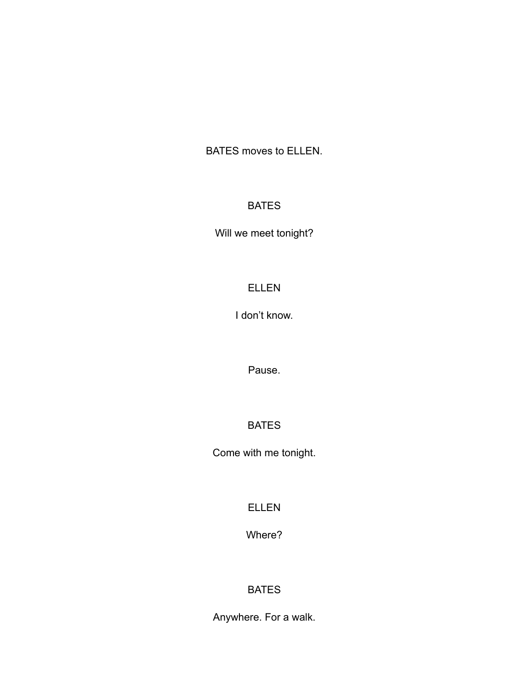BATES moves to ELLEN.

### BATES

Will we meet tonight?

### ELLEN

I don't know.

Pause.

## BATES

Come with me tonight.

ELLEN

Where?

### BATES

Anywhere. For a walk.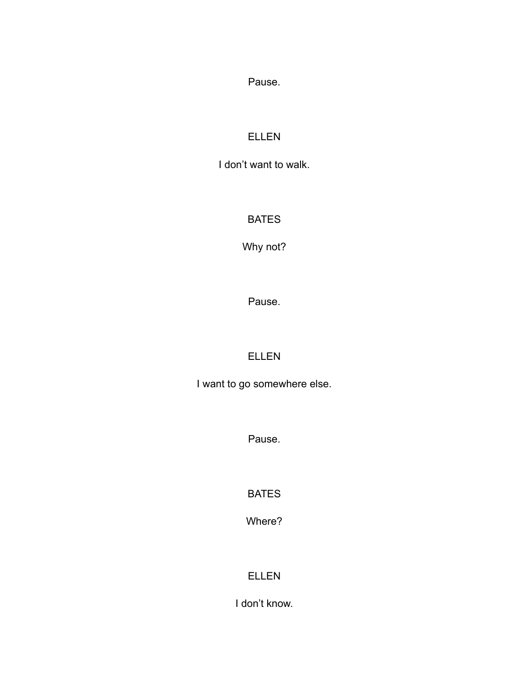Pause.

## ELLEN

I don't want to walk.

### BATES

Why not?

Pause.

# ELLEN

I want to go somewhere else.

Pause.

BATES

Where?

# ELLEN

I don't know.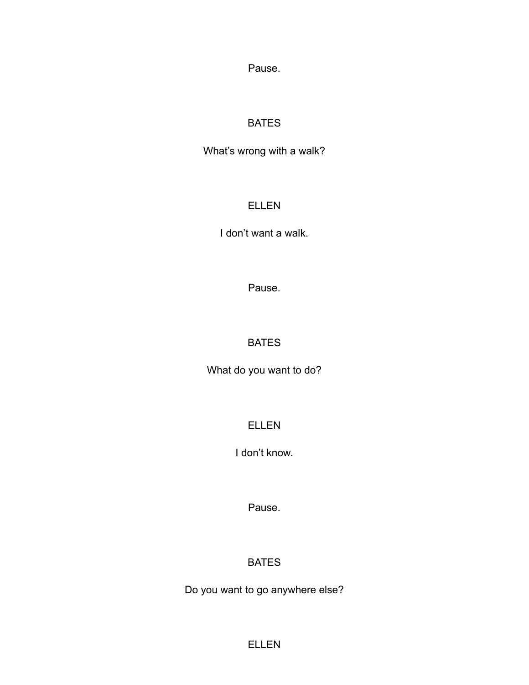Pause.

### BATES

What's wrong with a walk?

### ELLEN

I don't want a walk.

Pause.

## BATES

What do you want to do?

ELLEN

I don't know.

Pause.

# BATES

Do you want to go anywhere else?

ELLEN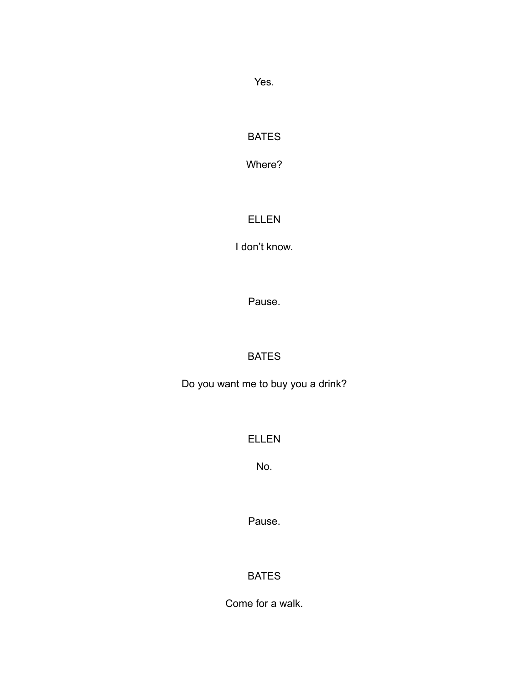Yes.

## BATES

Where?

## ELLEN

I don't know.

Pause.

# BATES

Do you want me to buy you a drink?

# ELLEN

No.

Pause.

# BATES

Come for a walk.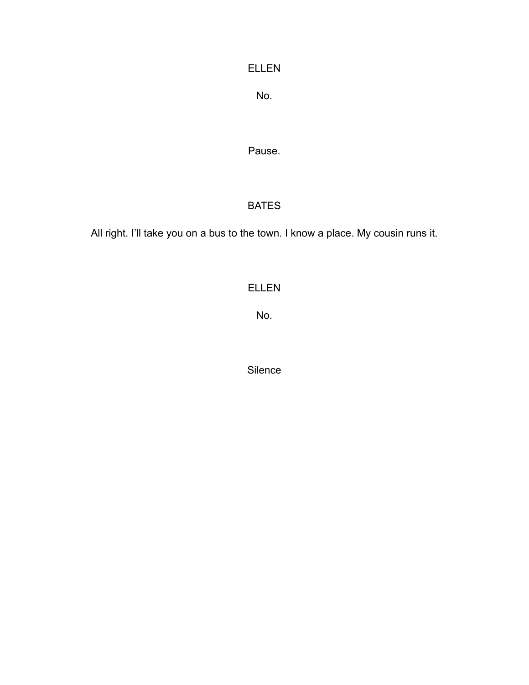### ELLEN

No.

Pause.

### BATES

All right. I'll take you on a bus to the town. I know a place. My cousin runs it.

## ELLEN

No.

Silence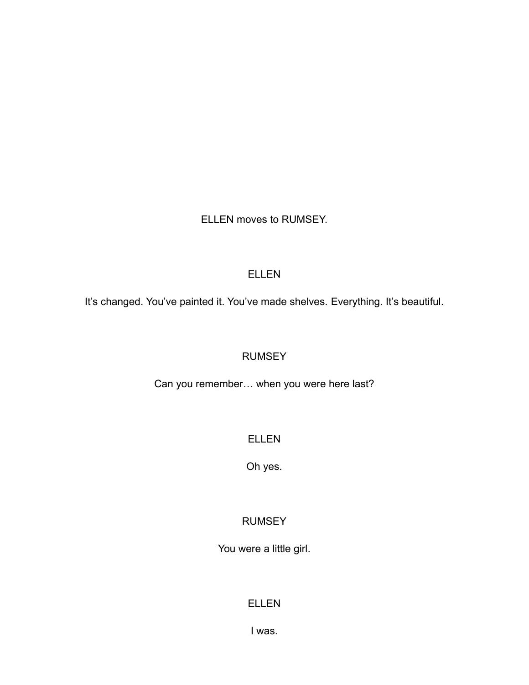ELLEN moves to RUMSEY.

### ELLEN

It's changed. You've painted it. You've made shelves. Everything. It's beautiful.

### **RUMSEY**

Can you remember… when you were here last?

### ELLEN

Oh yes.

### RUMSEY

You were a little girl.

### ELLEN

I was.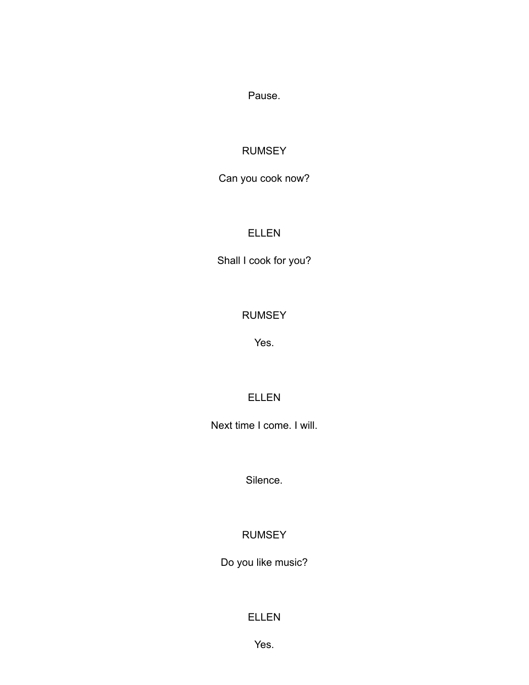Pause.

### RUMSEY

## Can you cook now?

### ELLEN

Shall I cook for you?

### RUMSEY

Yes.

### ELLEN

Next time I come. I will.

Silence.

### RUMSEY

Do you like music?

### ELLEN

Yes.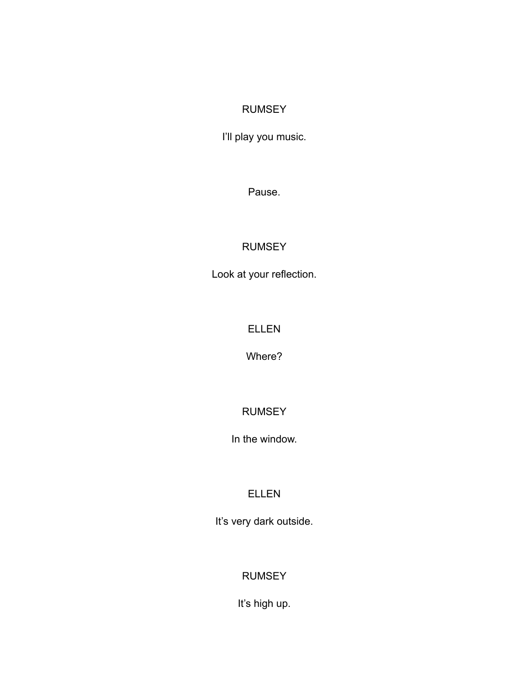### RUMSEY

I'll play you music.

Pause.

## RUMSEY

Look at your reflection.

### ELLEN

Where?

## RUMSEY

In the window.

## ELLEN

It's very dark outside.

## RUMSEY

It's high up.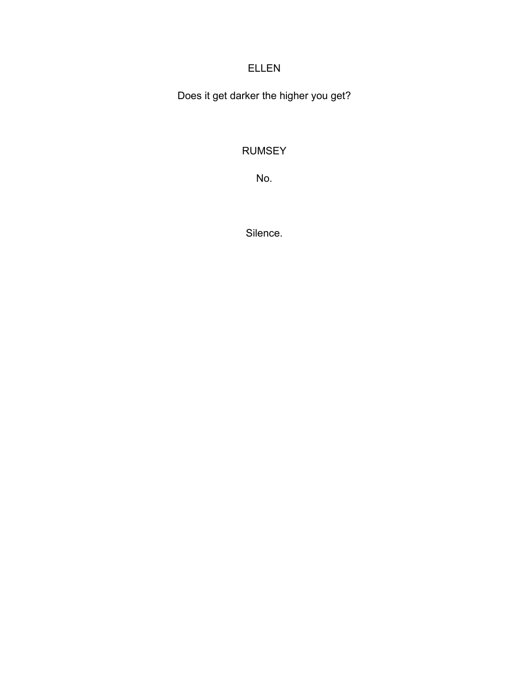## ELLEN

Does it get darker the higher you get?

## RUMSEY

No.

Silence.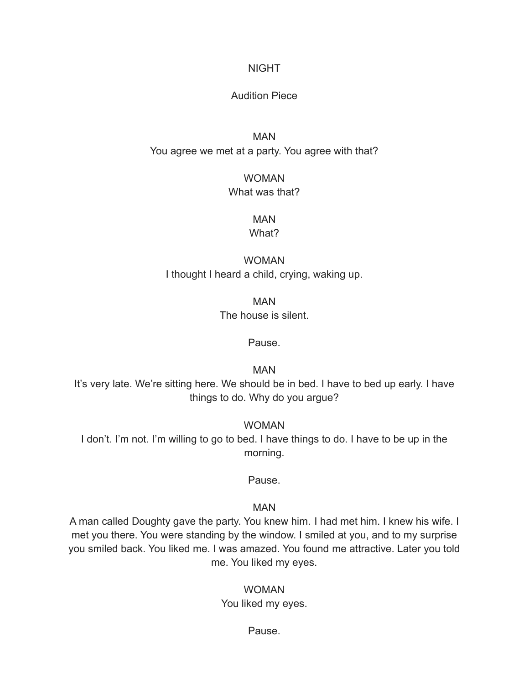#### NIGHT

#### Audition Piece

### MAN You agree we met at a party. You agree with that?

### WOMAN What was that?

# MAN

#### What?

### WOMAN I thought I heard a child, crying, waking up.

MAN The house is silent.

#### Pause.

MAN

It's very late. We're sitting here. We should be in bed. I have to bed up early. I have things to do. Why do you argue?

WOMAN I don't. I'm not. I'm willing to go to bed. I have things to do. I have to be up in the morning.

#### Pause.

#### MAN

A man called Doughty gave the party. You knew him. I had met him. I knew his wife. I met you there. You were standing by the window. I smiled at you, and to my surprise you smiled back. You liked me. I was amazed. You found me attractive. Later you told me. You liked my eyes.

#### WOMAN You liked my eyes.

#### Pause.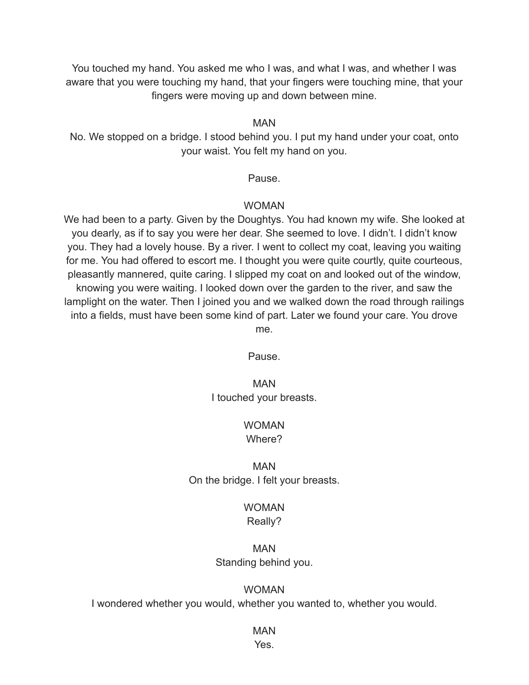You touched my hand. You asked me who I was, and what I was, and whether I was aware that you were touching my hand, that your fingers were touching mine, that your fingers were moving up and down between mine.

#### MAN

No. We stopped on a bridge. I stood behind you. I put my hand under your coat, onto your waist. You felt my hand on you.

#### Pause.

#### WOMAN

We had been to a party. Given by the Doughtys. You had known my wife. She looked at you dearly, as if to say you were her dear. She seemed to love. I didn't. I didn't know you. They had a lovely house. By a river. I went to collect my coat, leaving you waiting for me. You had offered to escort me. I thought you were quite courtly, quite courteous, pleasantly mannered, quite caring. I slipped my coat on and looked out of the window, knowing you were waiting. I looked down over the garden to the river, and saw the lamplight on the water. Then I joined you and we walked down the road through railings into a fields, must have been some kind of part. Later we found your care. You drove me.

Pause.

#### MAN I touched your breasts.

#### WOMAN Where?

### MAN On the bridge. I felt your breasts.

#### WOMAN Really?

#### MAN Standing behind you.

#### WOMAN

I wondered whether you would, whether you wanted to, whether you would.

## MAN

Yes.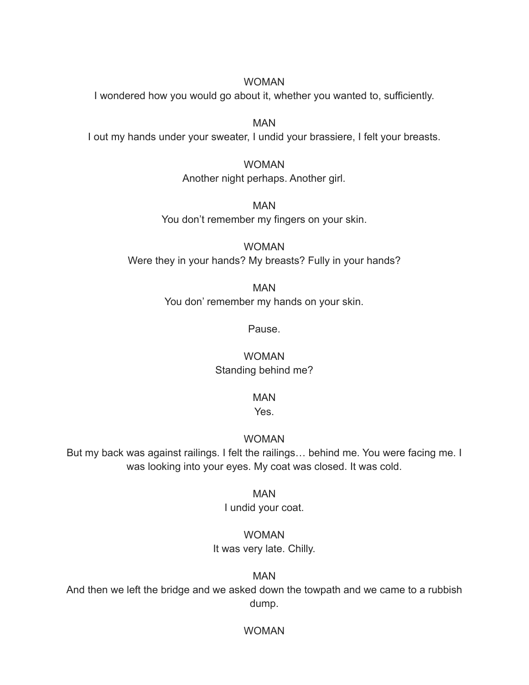#### WOMAN

I wondered how you would go about it, whether you wanted to, sufficiently.

MAN I out my hands under your sweater, I undid your brassiere, I felt your breasts.

> WOMAN Another night perhaps. Another girl.

MAN You don't remember my fingers on your skin.

WOMAN Were they in your hands? My breasts? Fully in your hands?

> MAN You don' remember my hands on your skin.

> > Pause.

WOMAN Standing behind me?

MAN

Yes.

WOMAN

But my back was against railings. I felt the railings… behind me. You were facing me. I was looking into your eyes. My coat was closed. It was cold.

MAN

I undid your coat.

WOMAN

It was very late. Chilly.

MAN

And then we left the bridge and we asked down the towpath and we came to a rubbish dump.

WOMAN